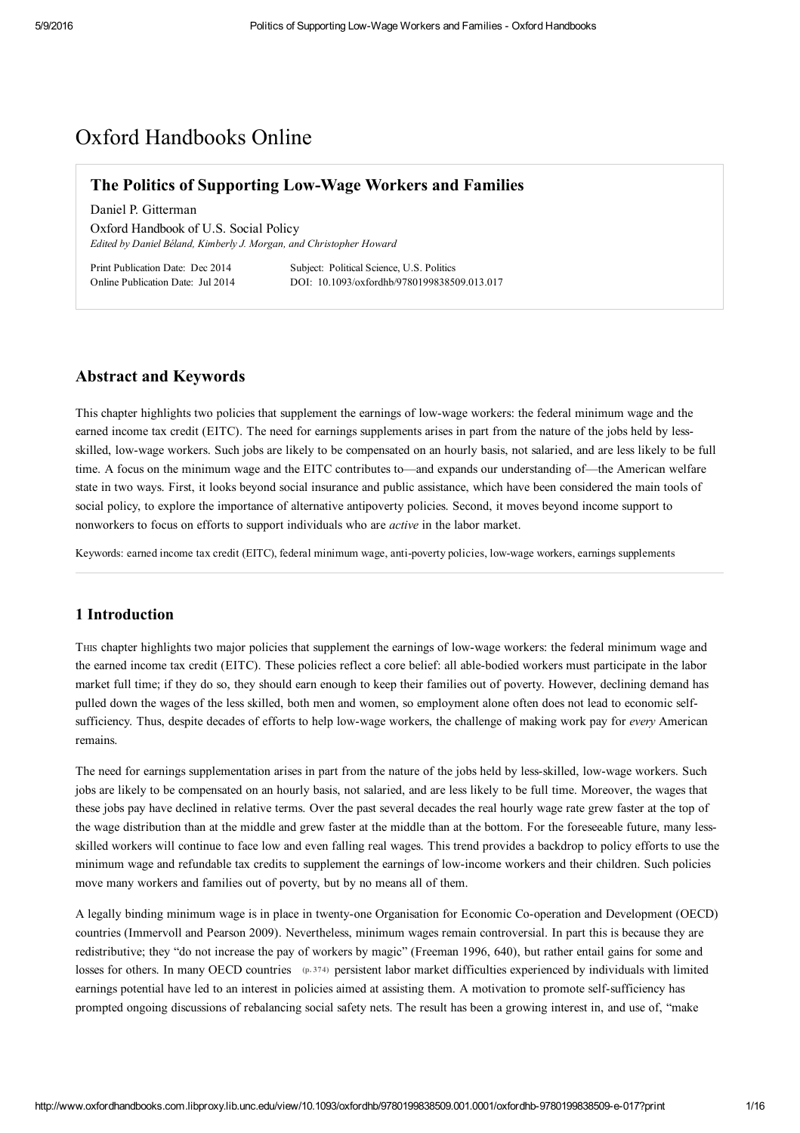# Oxford [Handbooks](http://www.oxfordhandbooks.com.libproxy.lib.unc.edu/) Online

## The Politics of Supporting Low-Wage Workers and Families

Daniel P. Gitterman

Oxford [Handbook](http://www.oxfordhandbooks.com.libproxy.lib.unc.edu/view/10.1093/oxfordhb/9780199838509.001.0001/oxfordhb-9780199838509) of U.S. Social Policy Edited by Daniel Béland, Kimberly J. Morgan, and Christopher Howard

Print Publication Date: Dec 2014 Subject: Political Science, U.S. Politics Online Publication Date: Jul 2014 DOI: 10.1093/oxfordhb/9780199838509.013.017

## Abstract and Keywords

This chapter highlights two policies that supplement the earnings of low-wage workers: the federal minimum wage and the earned income tax credit (EITC). The need for earnings supplements arises in part from the nature of the jobs held by lessskilled, lowwage workers. Such jobs are likely to be compensated on an hourly basis, not salaried, and are less likely to be full time. A focus on the minimum wage and the EITC contributes to—and expands our understanding of—the American welfare state in two ways. First, it looks beyond social insurance and public assistance, which have been considered the main tools of social policy, to explore the importance of alternative antipoverty policies. Second, it moves beyond income support to nonworkers to focus on efforts to support individuals who are active in the labor market.

Keywords: earned [income](http://www.oxfordhandbooks.com.libproxy.lib.unc.edu/search?f_0=keyword&q_0=earned%20income%20tax%20credit%20(EITC)) tax credit (EITC), federal [minimum](http://www.oxfordhandbooks.com.libproxy.lib.unc.edu/search?f_0=keyword&q_0=federal%20minimum%20wage) wage, anti-poverty policies, low-wage workers, earnings [supplements](http://www.oxfordhandbooks.com.libproxy.lib.unc.edu/search?f_0=keyword&q_0=earnings%20supplements)

## 1 Introduction

THIS chapter highlights two major policies that supplement the earnings of low-wage workers: the federal minimum wage and the earned income tax credit (EITC). These policies reflect a core belief: all able-bodied workers must participate in the labor market full time; if they do so, they should earn enough to keep their families out of poverty. However, declining demand has pulled down the wages of the less skilled, both men and women, so employment alone often does not lead to economic selfsufficiency. Thus, despite decades of efforts to help low-wage workers, the challenge of making work pay for every American remains.

The need for earnings supplementation arises in part from the nature of the jobs held by less-skilled, low-wage workers. Such jobs are likely to be compensated on an hourly basis, not salaried, and are less likely to be full time. Moreover, the wages that these jobs pay have declined in relative terms. Over the past several decades the real hourly wage rate grew faster at the top of the wage distribution than at the middle and grew faster at the middle than at the bottom. For the foreseeable future, many lessskilled workers will continue to face low and even falling real wages. This trend provides a backdrop to policy efforts to use the minimum wage and refundable tax credits to supplement the earnings of lowincome workers and their children. Such policies move many workers and families out of poverty, but by no means all of them.

A legally binding minimum wage is in place in twenty-one Organisation for Economic Co-operation and Development (OECD) countries ([Immervoll](#page-13-0) and Pearson 2009). Nevertheless, minimum wages remain controversial. In part this is because they are redistributive; they "do not increase the pay of workers by magic" ([Freeman](#page-12-0) 1996, 640), but rather entail gains for some and losses for others. In many OECD countries (p. 374) persistent labor market difficulties experienced by individuals with limited earnings potential have led to an interest in policies aimed at assisting them. A motivation to promote self-sufficiency has prompted ongoing discussions of rebalancing social safety nets. The result has been a growing interest in, and use of, "make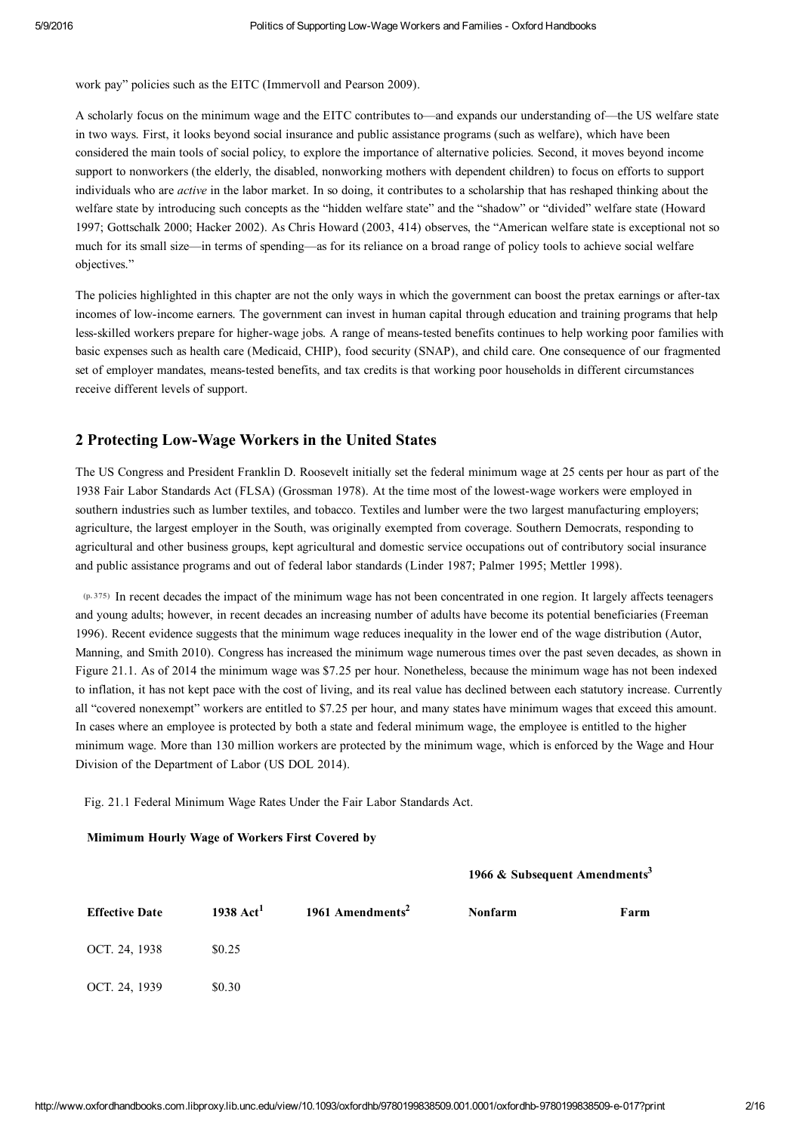work pay" policies such as the EITC [\(Immervoll](#page-13-0) and Pearson 2009).

A scholarly focus on the minimum wage and the EITC contributes to—and expands our understanding of—the US welfare state in two ways. First, it looks beyond social insurance and public assistance programs (such as welfare), which have been considered the main tools of social policy, to explore the importance of alternative policies. Second, it moves beyond income support to nonworkers (the elderly, the disabled, nonworking mothers with dependent children) to focus on efforts to support individuals who are *active* in the labor market. In so doing, it contributes to a scholarship that has reshaped thinking about the welfare state by [introducing](#page-13-1) such concepts as the "hidden welfare state" and the "shadow" or "divided" welfare state (Howard 1997; [Gottschalk](#page-12-1) 2000; [Hacker](#page-13-2) 2002). As Chris [Howard](#page-13-3) (2003, 414) observes, the "American welfare state is exceptional not so much for its small size—in terms of spending—as for its reliance on a broad range of policy tools to achieve social welfare objectives."

The policies highlighted in this chapter are not the only ways in which the government can boost the pretax earnings or after-tax incomes of low-income earners. The government can invest in human capital through education and training programs that help less-skilled workers prepare for higher-wage jobs. A range of means-tested benefits continues to help working poor families with basic expenses such as health care (Medicaid, CHIP), food security (SNAP), and child care. One consequence of our fragmented set of employer mandates, means-tested benefits, and tax credits is that working poor households in different circumstances receive different levels of support.

## 2 Protecting Low-Wage Workers in the United States

The US Congress and President Franklin D. Roosevelt initially set the federal minimum wage at 25 cents per hour as part of the 1938 Fair Labor Standards Act (FLSA) [\(Grossman](#page-13-4) 1978). At the time most of the lowestwage workers were employed in southern industries such as lumber textiles, and tobacco. Textiles and lumber were the two largest manufacturing employers; agriculture, the largest employer in the South, was originally exempted from coverage. Southern Democrats, responding to agricultural and other business groups, kept agricultural and domestic service occupations out of contributory social insurance and public assistance programs and out of federal labor standards ([Linder](#page-13-5) 1987; [Palmer](#page-14-0) 1995; [Mettler](#page-14-1) 1998).

(p. 375) In recent decades the impact of the minimum wage has not been concentrated in one region. It largely affects teenagers and young adults; however, in recent decades an increasing number of adults have become its potential [beneficiaries](#page-12-0) (Freeman 1996). Recent evidence suggests that the minimum wage reduces inequality in the lower end of the wage [distribution](#page-11-0) (Autor, Manning, and Smith 2010). Congress has increased the minimum wage numerous times over the past seven decades, as shown in Figure [21.1.](#page-1-0) As of 2014 the minimum wage was \$7.25 per hour. Nonetheless, because the minimum wage has not been indexed to inflation, it has not kept pace with the cost of living, and its real value has declined between each statutory increase. Currently all "covered nonexempt" workers are entitled to \$7.25 per hour, and many states have minimum wages that exceed this amount. In cases where an employee is protected by both a state and federal minimum wage, the employee is entitled to the higher minimum wage. More than 130 million workers are protected by the minimum wage, which is enforced by the Wage and Hour Division of the Department of Labor (US DOL 2014).

<span id="page-1-0"></span>Fig. 21.1 Federal Minimum Wage Rates Under the Fair Labor Standards Act.

#### <span id="page-1-3"></span>Mimimum Hourly Wage of Workers First Covered by

<span id="page-1-2"></span><span id="page-1-1"></span>

|                       |             |                              | 1966 & Subsequent Amendments <sup>3</sup> |      |  |
|-----------------------|-------------|------------------------------|-------------------------------------------|------|--|
| <b>Effective Date</b> | 1938 $Act1$ | 1961 Amendments <sup>2</sup> | <b>Nonfarm</b>                            | Farm |  |
| OCT. 24, 1938         | \$0.25      |                              |                                           |      |  |
| OCT. 24, 1939         | \$0.30      |                              |                                           |      |  |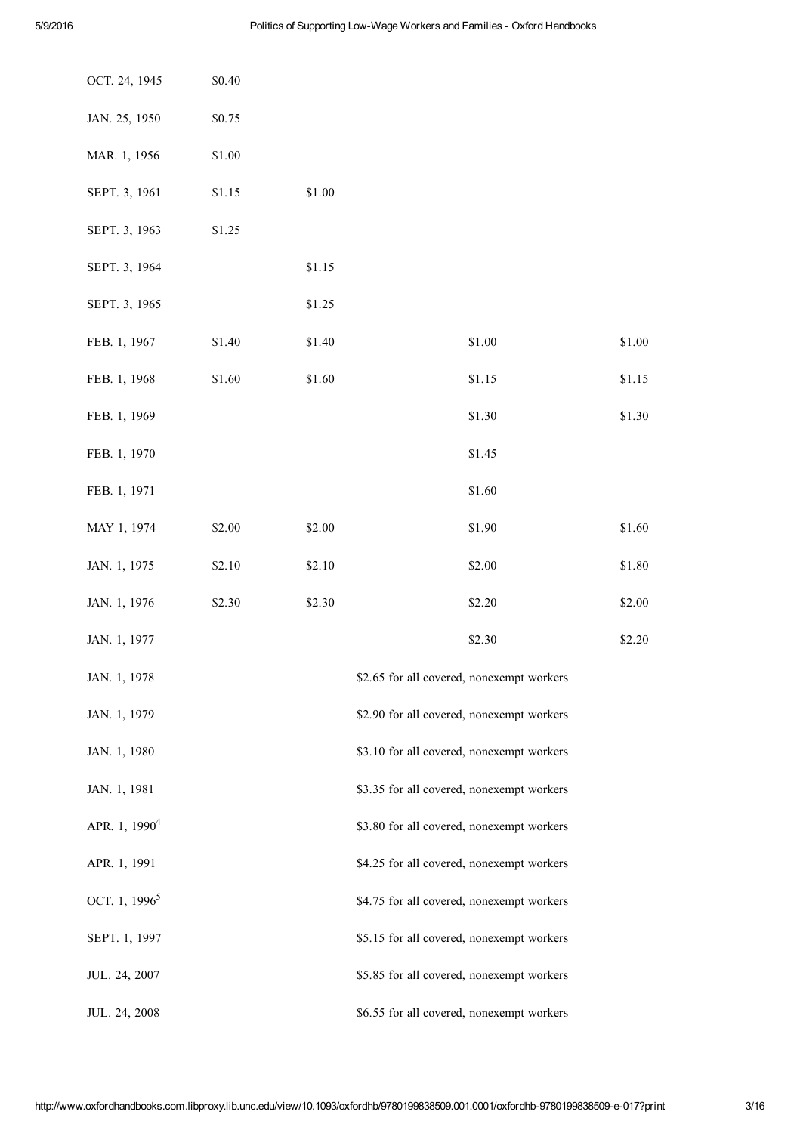<span id="page-2-1"></span><span id="page-2-0"></span>

| OCT. 24, 1945             | \$0.40 |        |                                           |        |  |
|---------------------------|--------|--------|-------------------------------------------|--------|--|
| JAN. 25, 1950             | \$0.75 |        |                                           |        |  |
| MAR. 1, 1956              | \$1.00 |        |                                           |        |  |
| SEPT. 3, 1961             | \$1.15 | \$1.00 |                                           |        |  |
| SEPT. 3, 1963             | \$1.25 |        |                                           |        |  |
| SEPT. 3, 1964             |        | \$1.15 |                                           |        |  |
| SEPT. 3, 1965             |        | \$1.25 |                                           |        |  |
| FEB. 1, 1967              | \$1.40 | \$1.40 | \$1.00                                    | \$1.00 |  |
| FEB. 1, 1968              | \$1.60 | \$1.60 | \$1.15<br>\$1.15                          |        |  |
| FEB. 1, 1969              |        |        | \$1.30                                    | \$1.30 |  |
| FEB. 1, 1970              |        |        | \$1.45                                    |        |  |
| FEB. 1, 1971              |        |        | \$1.60                                    |        |  |
| MAY 1, 1974               | \$2.00 | \$2.00 | \$1.90                                    | \$1.60 |  |
| JAN. 1, 1975              | \$2.10 | \$2.10 | \$2.00<br>\$1.80                          |        |  |
| JAN. 1, 1976              | \$2.30 | \$2.30 | \$2.20<br>\$2.00                          |        |  |
| JAN. 1, 1977              |        |        | \$2.30<br>\$2.20                          |        |  |
| JAN. 1, 1978              |        |        | \$2.65 for all covered, nonexempt workers |        |  |
| JAN. 1, 1979              |        |        | \$2.90 for all covered, nonexempt workers |        |  |
| JAN. 1, 1980              |        |        | \$3.10 for all covered, nonexempt workers |        |  |
| JAN. 1, 1981              |        |        | \$3.35 for all covered, nonexempt workers |        |  |
| APR. 1, 1990 <sup>4</sup> |        |        | \$3.80 for all covered, nonexempt workers |        |  |
| APR. 1, 1991              |        |        | \$4.25 for all covered, nonexempt workers |        |  |
| OCT. 1, $1996^5$          |        |        | \$4.75 for all covered, nonexempt workers |        |  |
| SEPT. 1, 1997             |        |        | \$5.15 for all covered, nonexempt workers |        |  |
| JUL. 24, 2007             |        |        | \$5.85 for all covered, nonexempt workers |        |  |
| JUL. 24, 2008             |        |        | \$6.55 for all covered, nonexempt workers |        |  |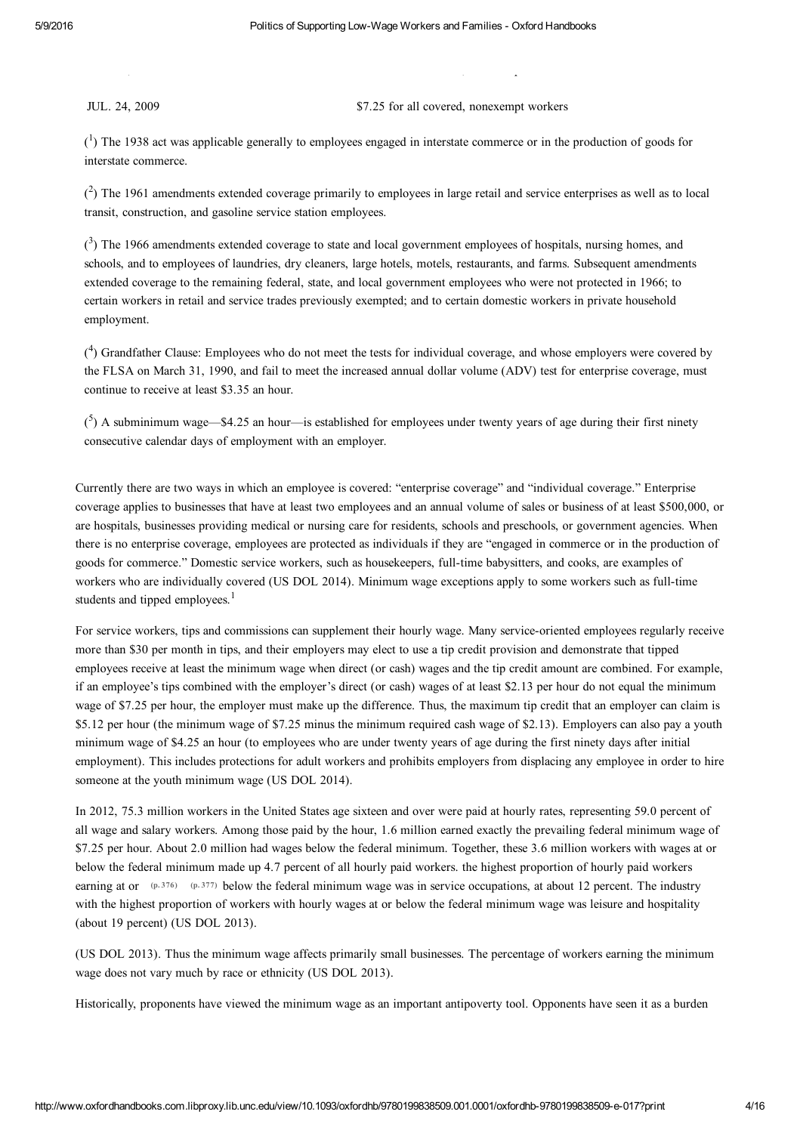#### JUL. 24, 2009 \$7.25 for all covered, nonexempt workers

<span id="page-3-1"></span> $(1)$  $(1)$  $(1)$  The 1938 act was applicable generally to employees engaged in interstate commerce or in the production of goods for interstate commerce.

JUL. 24, 2008  $\mu$  , 24, 2008  $\mu$  all covered, nonexemption workers workers workers workers workers workers workers workers workers workers workers workers workers workers workers workers workers workers workers workers

<span id="page-3-2"></span> $(2)$  $(2)$  $(2)$  The 1961 amendments extended coverage primarily to employees in large retail and service enterprises as well as to local transit, construction, and gasoline service station employees.

<span id="page-3-0"></span> $(3)$  $(3)$  $(3)$  The 1966 amendments extended coverage to state and local government employees of hospitals, nursing homes, and schools, and to employees of laundries, dry cleaners, large hotels, motels, restaurants, and farms. Subsequent amendments extended coverage to the remaining federal, state, and local government employees who were not protected in 1966; to certain workers in retail and service trades previously exempted; and to certain domestic workers in private household employment.

<span id="page-3-3"></span> $(4)$  $(4)$  $(4)$  Grandfather Clause: Employees who do not meet the tests for individual coverage, and whose employers were covered by the FLSA on March 31, 1990, and fail to meet the increased annual dollar volume (ADV) test for enterprise coverage, must continue to receive at least \$3.35 an hour.

<span id="page-3-4"></span> $\binom{5}{1}$  $\binom{5}{1}$  $\binom{5}{1}$  A subminimum wage—\$4.25 an hour—is established for employees under twenty years of age during their first ninety consecutive calendar days of employment with an employer.

Currently there are two ways in which an employee is covered: "enterprise coverage" and "individual coverage." Enterprise coverage applies to businesses that have at least two employees and an annual volume of sales or business of at least \$500,000, or are hospitals, businesses providing medical or nursing care for residents, schools and preschools, or government agencies. When there is no enterprise coverage, employees are protected as individuals if they are "engaged in commerce or in the production of goods for commerce." Domestic service workers, such as housekeepers, full-time babysitters, and cooks, are examples of workers who are individually covered (US [DOL](#page-14-2) 2014). Minimum wage exceptions apply to some workers such as full-time students and tipped employees.<sup>[1](#page-15-0)</sup>

<span id="page-3-5"></span>For service workers, tips and commissions can supplement their hourly wage. Many service-oriented employees regularly receive more than \$30 per month in tips, and their employers may elect to use a tip credit provision and demonstrate that tipped employees receive at least the minimum wage when direct (or cash) wages and the tip credit amount are combined. For example, if an employee's tips combined with the employer's direct (or cash) wages of at least \$2.13 per hour do not equal the minimum wage of \$7.25 per hour, the employer must make up the difference. Thus, the maximum tip credit that an employer can claim is \$5.12 per hour (the minimum wage of \$7.25 minus the minimum required cash wage of \$2.13). Employers can also pay a youth minimum wage of \$4.25 an hour (to employees who are under twenty years of age during the first ninety days after initial employment). This includes protections for adult workers and prohibits employers from displacing any employee in order to hire someone at the youth minimum wage (US [DOL](#page-14-2) 2014).

In 2012, 75.3 million workers in the United States age sixteen and over were paid at hourly rates, representing 59.0 percent of all wage and salary workers. Among those paid by the hour, 1.6 million earned exactly the prevailing federal minimum wage of \$7.25 per hour. About 2.0 million had wages below the federal minimum. Together, these 3.6 million workers with wages at or below the federal minimum made up 4.7 percent of all hourly paid workers. the highest proportion of hourly paid workers earning at or  $(p. 376)$   $(p. 377)$  below the federal minimum wage was in service occupations, at about 12 percent. The industry with the highest proportion of workers with hourly wages at or below the federal minimum wage was leisure and hospitality (about 19 percent) (US DOL 2013).

(US [DOL](#page-14-3) 2013). Thus the minimum wage affects primarily small businesses. The percentage of workers earning the minimum wage does not vary much by race or ethnicity (US DOL 2013).

Historically, proponents have viewed the minimum wage as an important antipoverty tool. Opponents have seen it as a burden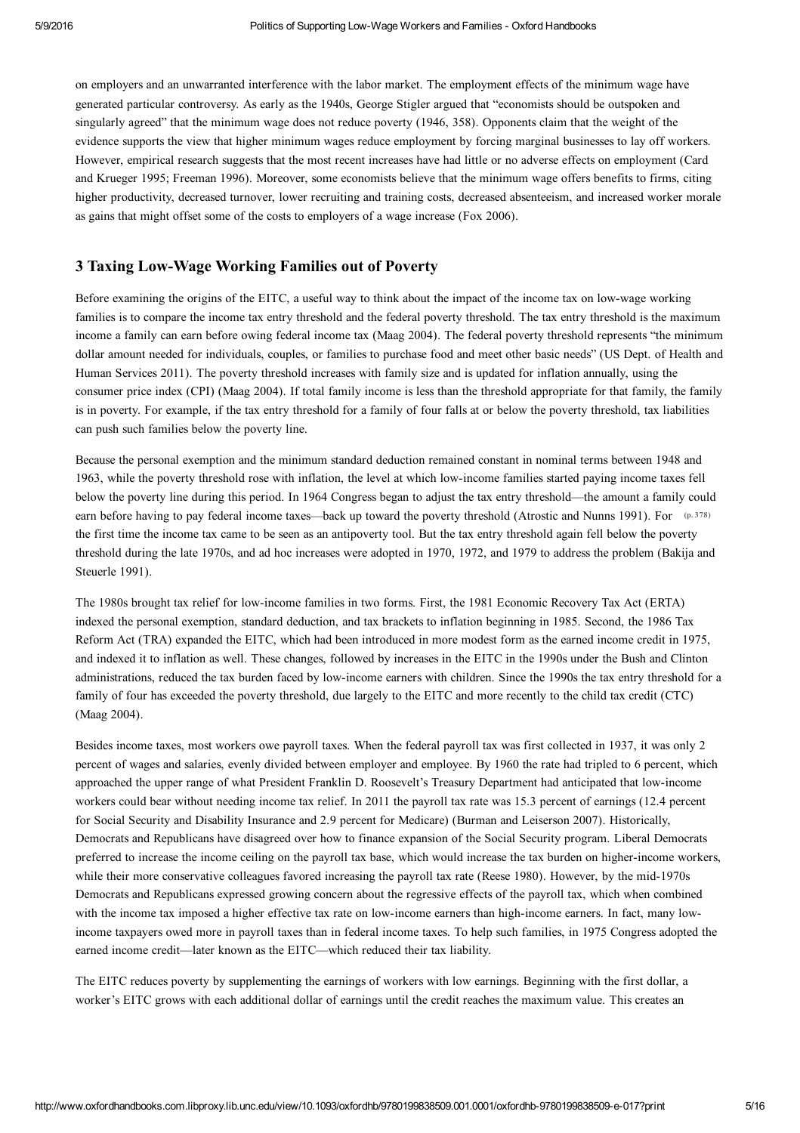on employers and an unwarranted interference with the labor market. The employment effects of the minimum wage have generated particular controversy. As early as the 1940s, George Stigler argued that "economists should be outspoken and singularly agreed" that the minimum wage does not reduce poverty (1946, 358). Opponents claim that the weight of the evidence supports the view that higher minimum wages reduce employment by forcing marginal businesses to lay off workers. However, empirical research suggests that the most recent increases have had little or no adverse effects on [employment](#page-12-2) (Card and Krueger 1995; [Freeman](#page-12-0) 1996). Moreover, some economists believe that the minimum wage offers benefits to firms, citing higher productivity, decreased turnover, lower recruiting and training costs, decreased absenteeism, and increased worker morale as gains that might offset some of the costs to employers of a wage increase (Fox [2006\)](#page-12-3).

## 3 Taxing Low-Wage Working Families out of Poverty

Before examining the origins of the EITC, a useful way to think about the impact of the income tax on lowwage working families is to compare the income tax entry threshold and the federal poverty threshold. The tax entry threshold is the maximum income a family can earn before owing federal income tax ([Maag](#page-13-6) 2004). The federal poverty threshold represents "the minimum dollar amount needed for [individuals,](#page-14-4) couples, or families to purchase food and meet other basic needs" (US Dept. of Health and Human Services 2011). The poverty threshold increases with family size and is updated for inflation annually, using the consumer price index (CPI) [\(Maag](#page-13-6) 2004). If total family income is less than the threshold appropriate for that family, the family is in poverty. For example, if the tax entry threshold for a family of four falls at or below the poverty threshold, tax liabilities can push such families below the poverty line.

Because the personal exemption and the minimum standard deduction remained constant in nominal terms between 1948 and 1963, while the poverty threshold rose with inflation, the level at which lowincome families started paying income taxes fell below the poverty line during this period. In 1964 Congress began to adjust the tax entry threshold—the amount a family could earn before having to pay federal income taxes—back up toward the poverty threshold ([Atrostic](#page-11-1) and Nunns 1991). For  $(p.378)$ the first time the income tax came to be seen as an antipoverty tool. But the tax entry threshold again fell below the poverty [threshold](#page-11-2) during the late 1970s, and ad hoc increases were adopted in 1970, 1972, and 1979 to address the problem (Bakija and Steuerle 1991).

The 1980s brought tax relief for lowincome families in two forms. First, the 1981 Economic Recovery Tax Act (ERTA) indexed the personal exemption, standard deduction, and tax brackets to inflation beginning in 1985. Second, the 1986 Tax Reform Act (TRA) expanded the EITC, which had been introduced in more modest form as the earned income credit in 1975, and indexed it to inflation as well. These changes, followed by increases in the EITC in the 1990s under the Bush and Clinton administrations, reduced the tax burden faced by low-income earners with children. Since the 1990s the tax entry threshold for a family of four has exceeded the poverty threshold, due largely to the EITC and more recently to the child tax credit (CTC) [\(Maag](#page-13-6) 2004).

Besides income taxes, most workers owe payroll taxes. When the federal payroll tax was first collected in 1937, it was only 2 percent of wages and salaries, evenly divided between employer and employee. By 1960 the rate had tripled to 6 percent, which approached the upper range of what President Franklin D. Roosevelt's Treasury Department had anticipated that lowincome workers could bear without needing income tax relief. In 2011 the payroll tax rate was 15.3 percent of earnings (12.4 percent for Social Security and Disability Insurance and 2.9 percent for Medicare) (Burman and [Leiserson](#page-12-4) 2007). Historically, Democrats and Republicans have disagreed over how to finance expansion of the Social Security program. Liberal Democrats preferred to increase the income ceiling on the payroll tax base, which would increase the tax burden on higher-income workers, while their more conservative colleagues favored increasing the payroll tax rate ([Reese](#page-14-5) 1980). However, by the mid-1970s Democrats and Republicans expressed growing concern about the regressive effects of the payroll tax, which when combined with the income tax imposed a higher effective tax rate on low-income earners than high-income earners. In fact, many lowincome taxpayers owed more in payroll taxes than in federal income taxes. To help such families, in 1975 Congress adopted the earned income credit—later known as the EITC—which reduced their tax liability.

The EITC reduces poverty by supplementing the earnings of workers with low earnings. Beginning with the first dollar, a worker's EITC grows with each additional dollar of earnings until the credit reaches the maximum value. This creates an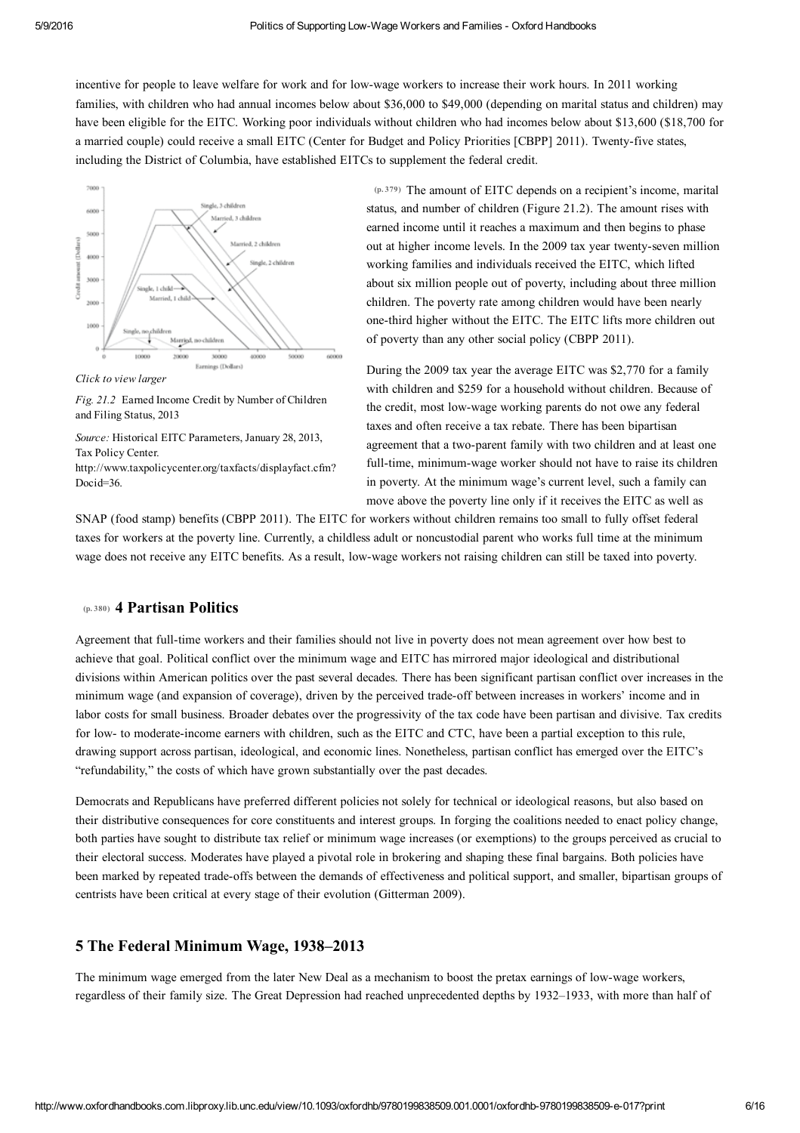incentive for people to leave welfare for work and for low-wage workers to increase their work hours. In 2011 working families, with children who had annual incomes below about \$36,000 to \$49,000 (depending on marital status and children) may have been eligible for the EITC. Working poor individuals without children who had incomes below about \$13,600 (\$18,700 for a married couple) could receive a small EITC (Center for Budget and Policy [Priorities](#page-12-5) [CBPP] 2011). Twenty-five states, including the District of Columbia, have established EITCs to supplement the federal credit.

<span id="page-5-0"></span>

Click to view larger

Fig. 21.2 Earned Income Credit by Number of Children and Filing Status, 2013

Source: Historical EITC Parameters, January 28, 2013, Tax Policy Center.

[http://www.taxpolicycenter.org/taxfacts/displayfact.cfm?](http://www.taxpolicycenter.org/taxfacts/displayfact.cfm?Docid=36) Docid=36.

(p. 379) The amount of EITC depends on a recipient's income, marital status, and number of children (Figure [21.2](#page-5-0)). The amount rises with earned income until it reaches a maximum and then begins to phase out at higher income levels. In the 2009 tax year twenty-seven million working families and individuals received the EITC, which lifted about six million people out of poverty, including about three million children. The poverty rate among children would have been nearly onethird higher without the EITC. The EITC lifts more children out of poverty than any other social policy ([CBPP](#page-12-5) 2011).

During the 2009 tax year the average EITC was \$2,770 for a family with children and \$259 for a household without children. Because of the credit, most low-wage working parents do not owe any federal taxes and often receive a tax rebate. There has been bipartisan agreement that a two-parent family with two children and at least one full-time, minimum-wage worker should not have to raise its children in poverty. At the minimum wage's current level, such a family can move above the poverty line only if it receives the EITC as well as

SNAP (food stamp) benefits ([CBPP](#page-12-5) 2011). The EITC for workers without children remains too small to fully offset federal taxes for workers at the poverty line. Currently, a childless adult or noncustodial parent who works full time at the minimum wage does not receive any EITC benefits. As a result, low-wage workers not raising children can still be taxed into poverty.

### (p. 380) 4 Partisan Politics

Agreement that full-time workers and their families should not live in poverty does not mean agreement over how best to achieve that goal. Political conflict over the minimum wage and EITC has mirrored major ideological and distributional divisions within American politics over the past several decades. There has been significant partisan conflict over increases in the minimum wage (and expansion of coverage), driven by the perceived trade-off between increases in workers' income and in labor costs for small business. Broader debates over the progressivity of the tax code have been partisan and divisive. Tax credits for low- to moderate-income earners with children, such as the EITC and CTC, have been a partial exception to this rule, drawing support across partisan, ideological, and economic lines. Nonetheless, partisan conflict has emerged over the EITC's "refundability," the costs of which have grown substantially over the past decades.

Democrats and Republicans have preferred different policies not solely for technical or ideological reasons, but also based on their distributive consequences for core constituents and interest groups. In forging the coalitions needed to enact policy change, both parties have sought to distribute tax relief or minimum wage increases (or exemptions) to the groups perceived as crucial to their electoral success. Moderates have played a pivotal role in brokering and shaping these final bargains. Both policies have been marked by repeated trade-offs between the demands of effectiveness and political support, and smaller, bipartisan groups of centrists have been critical at every stage of their evolution ([Gitterman](#page-12-6) 2009).

## 5 The Federal Minimum Wage, 1938–2013

The minimum wage emerged from the later New Deal as a mechanism to boost the pretax earnings of low-wage workers, regardless of their family size. The Great Depression had reached unprecedented depths by 1932–1933, with more than half of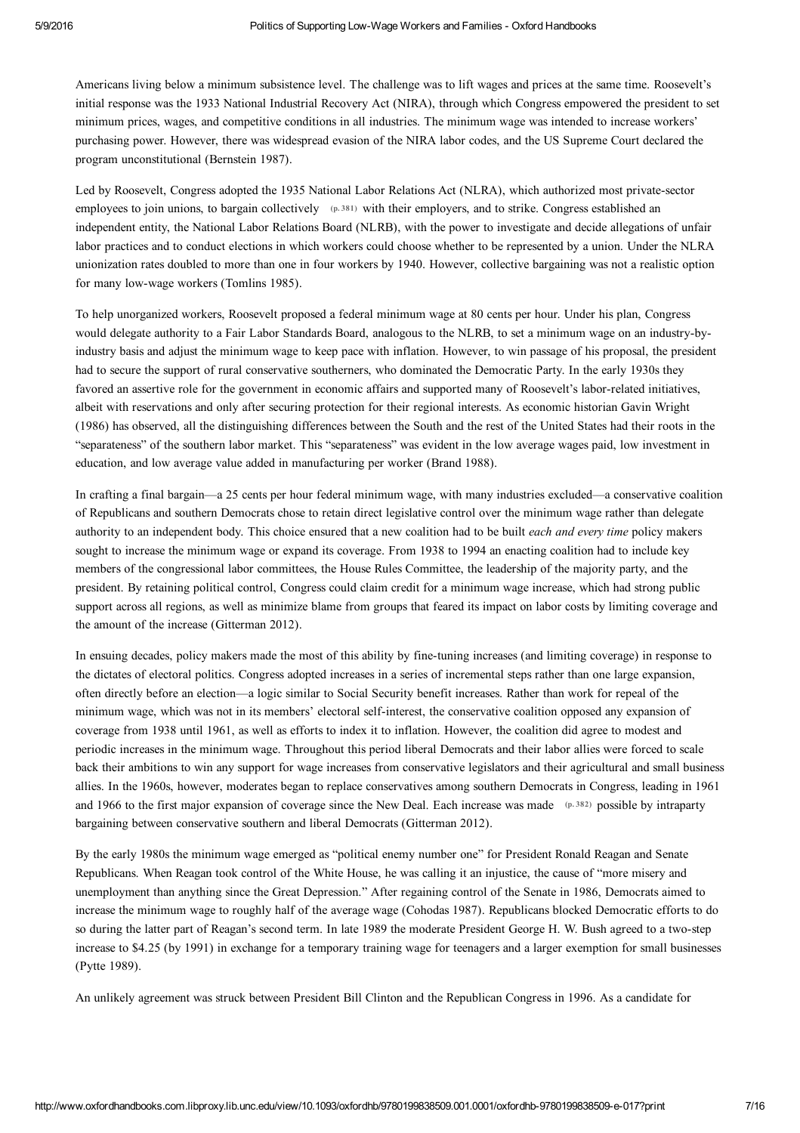Americans living below a minimum subsistence level. The challenge was to lift wages and prices at the same time. Roosevelt's initial response was the 1933 National Industrial Recovery Act (NIRA), through which Congress empowered the president to set minimum prices, wages, and competitive conditions in all industries. The minimum wage was intended to increase workers' purchasing power. However, there was widespread evasion of the NIRA labor codes, and the US Supreme Court declared the program unconstitutional ([Bernstein](#page-11-3) 1987).

Led by Roosevelt, Congress adopted the 1935 National Labor Relations Act (NLRA), which authorized most privatesector employees to join unions, to bargain collectively (p. 381) with their employers, and to strike. Congress established an independent entity, the National Labor Relations Board (NLRB), with the power to investigate and decide allegations of unfair labor practices and to conduct elections in which workers could choose whether to be represented by a union. Under the NLRA unionization rates doubled to more than one in four workers by 1940. However, collective bargaining was not a realistic option for many low-wage workers [\(Tomlins](#page-14-6) 1985).

To help unorganized workers, Roosevelt proposed a federal minimum wage at 80 cents per hour. Under his plan, Congress would delegate authority to a Fair Labor Standards Board, analogous to the NLRB, to set a minimum wage on an industrybyindustry basis and adjust the minimum wage to keep pace with inflation. However, to win passage of his proposal, the president had to secure the support of rural conservative southerners, who dominated the Democratic Party. In the early 1930s they favored an assertive role for the government in economic affairs and supported many of Roosevelt's labor-related initiatives, albeit with reservations and only after securing protection for their regional interests. As economic historian Gavin Wright (1986) has observed, all the [distinguishing](#page-15-1) differences between the South and the rest of the United States had their roots in the "separateness" of the southern labor market. This "separateness" was evident in the low average wages paid, low investment in education, and low average value added in manufacturing per worker [\(Brand](#page-12-7) 1988).

In crafting a final bargain—a 25 cents per hour federal minimum wage, with many industries excluded—a conservative coalition of Republicans and southern Democrats chose to retain direct legislative control over the minimum wage rather than delegate authority to an independent body. This choice ensured that a new coalition had to be built *each and every time* policy makers sought to increase the minimum wage or expand its coverage. From 1938 to 1994 an enacting coalition had to include key members of the congressional labor committees, the House Rules Committee, the leadership of the majority party, and the president. By retaining political control, Congress could claim credit for a minimum wage increase, which had strong public support across all regions, as well as minimize blame from groups that feared its impact on labor costs by limiting coverage and the amount of the increase ([Gitterman](#page-12-8) 2012).

In ensuing decades, policy makers made the most of this ability by fine-tuning increases (and limiting coverage) in response to the dictates of electoral politics. Congress adopted increases in a series of incremental steps rather than one large expansion, often directly before an election—a logic similar to Social Security benefit increases. Rather than work for repeal of the minimum wage, which was not in its members' electoral selfinterest, the conservative coalition opposed any expansion of coverage from 1938 until 1961, as well as efforts to index it to inflation. However, the coalition did agree to modest and periodic increases in the minimum wage. Throughout this period liberal Democrats and their labor allies were forced to scale back their ambitions to win any support for wage increases from conservative legislators and their agricultural and small business allies. In the 1960s, however, moderates began to replace conservatives among southern Democrats in Congress, leading in 1961 and 1966 to the first major expansion of coverage since the New Deal. Each increase was made  $(p. 382)$  possible by intraparty bargaining between conservative southern and liberal Democrats ([Gitterman](#page-12-8) 2012).

By the early 1980s the minimum wage emerged as "political enemy number one" for President Ronald Reagan and Senate Republicans. When Reagan took control of the White House, he was calling it an injustice, the cause of "more misery and unemployment than anything since the Great Depression." After regaining control of the Senate in 1986, Democrats aimed to increase the minimum wage to roughly half of the average wage ([Cohodas](#page-12-9) 1987). Republicans blocked Democratic efforts to do so during the latter part of Reagan's second term. In late 1989 the moderate President George H. W. Bush agreed to a two-step increase to \$4.25 (by 1991) in exchange for a temporary training wage for teenagers and a larger exemption for small businesses [\(Pytte](#page-14-7) 1989).

An unlikely agreement was struck between President Bill Clinton and the Republican Congress in 1996. As a candidate for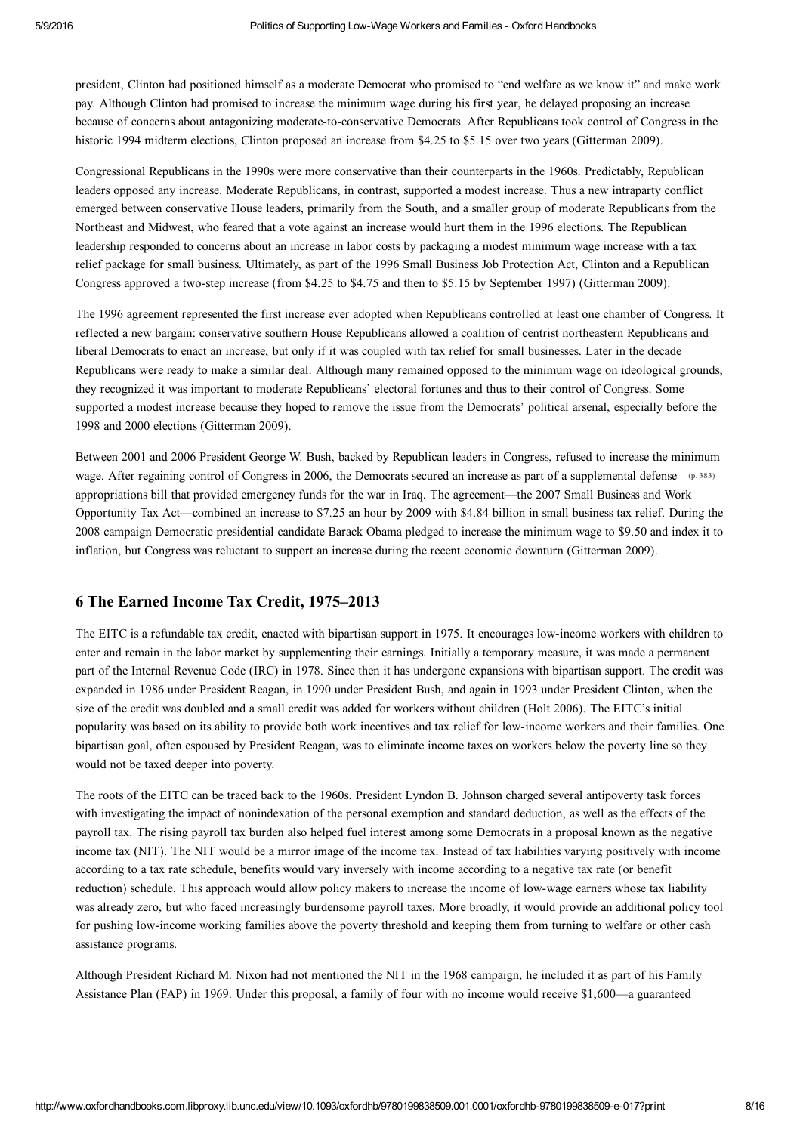president, Clinton had positioned himself as a moderate Democrat who promised to "end welfare as we know it" and make work pay. Although Clinton had promised to increase the minimum wage during his first year, he delayed proposing an increase because of concerns about antagonizing moderate-to-conservative Democrats. After Republicans took control of Congress in the historic 1994 midterm elections, Clinton proposed an increase from \$4.25 to \$5.15 over two years ([Gitterman](#page-12-6) 2009).

Congressional Republicans in the 1990s were more conservative than their counterparts in the 1960s. Predictably, Republican leaders opposed any increase. Moderate Republicans, in contrast, supported a modest increase. Thus a new intraparty conflict emerged between conservative House leaders, primarily from the South, and a smaller group of moderate Republicans from the Northeast and Midwest, who feared that a vote against an increase would hurt them in the 1996 elections. The Republican leadership responded to concerns about an increase in labor costs by packaging a modest minimum wage increase with a tax relief package for small business. Ultimately, as part of the 1996 Small Business Job Protection Act, Clinton and a Republican Congress approved a two-step increase (from \$4.25 to \$4.75 and then to \$5.15 by September 1997) ([Gitterman](#page-12-6) 2009).

The 1996 agreement represented the first increase ever adopted when Republicans controlled at least one chamber of Congress. It reflected a new bargain: conservative southern House Republicans allowed a coalition of centrist northeastern Republicans and liberal Democrats to enact an increase, but only if it was coupled with tax relief for small businesses. Later in the decade Republicans were ready to make a similar deal. Although many remained opposed to the minimum wage on ideological grounds, they recognized it was important to moderate Republicans' electoral fortunes and thus to their control of Congress. Some supported a modest increase because they hoped to remove the issue from the Democrats' political arsenal, especially before the 1998 and 2000 elections [\(Gitterman](#page-12-6) 2009).

Between 2001 and 2006 President George W. Bush, backed by Republican leaders in Congress, refused to increase the minimum wage. After regaining control of Congress in 2006, the Democrats secured an increase as part of a supplemental defense (p. 383) appropriations bill that provided emergency funds for the war in Iraq. The agreement—the 2007 Small Business and Work Opportunity Tax Act—combined an increase to \$7.25 an hour by 2009 with \$4.84 billion in small business tax relief. During the 2008 campaign Democratic presidential candidate Barack Obama pledged to increase the minimum wage to \$9.50 and index it to inflation, but Congress was reluctant to support an increase during the recent economic downturn ([Gitterman](#page-12-6) 2009).

## 6 The Earned Income Tax Credit, 1975–2013

The EITC is a refundable tax credit, enacted with bipartisan support in 1975. It encourages lowincome workers with children to enter and remain in the labor market by supplementing their earnings. Initially a temporary measure, it was made a permanent part of the Internal Revenue Code (IRC) in 1978. Since then it has undergone expansions with bipartisan support. The credit was expanded in 1986 under President Reagan, in 1990 under President Bush, and again in 1993 under President Clinton, when the size of the credit was doubled and a small credit was added for workers without children (Holt [2006\)](#page-13-7). The EITC's initial popularity was based on its ability to provide both work incentives and tax relief for low-income workers and their families. One bipartisan goal, often espoused by President Reagan, was to eliminate income taxes on workers below the poverty line so they would not be taxed deeper into poverty.

The roots of the EITC can be traced back to the 1960s. President Lyndon B. Johnson charged several antipoverty task forces with investigating the impact of nonindexation of the personal exemption and standard deduction, as well as the effects of the payroll tax. The rising payroll tax burden also helped fuel interest among some Democrats in a proposal known as the negative income tax (NIT). The NIT would be a mirror image of the income tax. Instead of tax liabilities varying positively with income according to a tax rate schedule, benefits would vary inversely with income according to a negative tax rate (or benefit reduction) schedule. This approach would allow policy makers to increase the income of low-wage earners whose tax liability was already zero, but who faced increasingly burdensome payroll taxes. More broadly, it would provide an additional policy tool for pushing low-income working families above the poverty threshold and keeping them from turning to welfare or other cash assistance programs.

Although President Richard M. Nixon had not mentioned the NIT in the 1968 campaign, he included it as part of his Family Assistance Plan (FAP) in 1969. Under this proposal, a family of four with no income would receive \$1,600—a guaranteed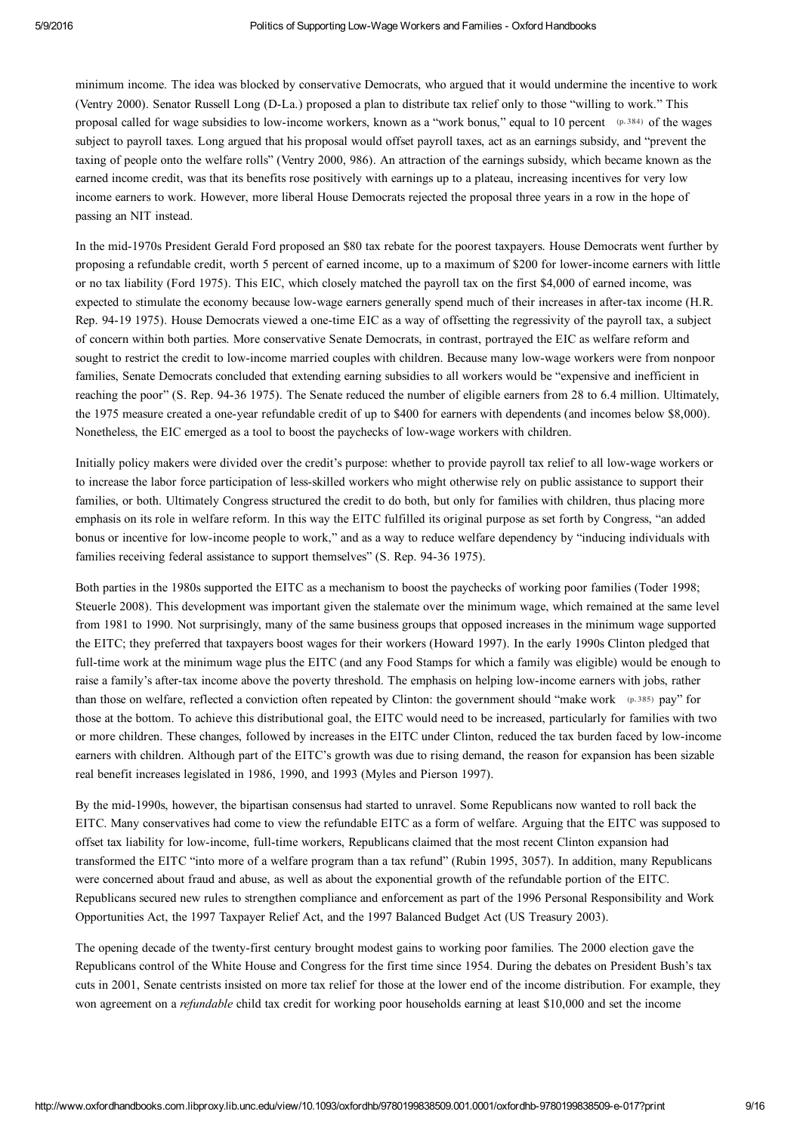minimum income. The idea was blocked by conservative Democrats, who argued that it would undermine the incentive to work [\(Ventry](#page-15-2) 2000). Senator Russell Long (DLa.) proposed a plan to distribute tax relief only to those "willing to work." This proposal called for wage subsidies to low-income workers, known as a "work bonus," equal to 10 percent (p. 384) of the wages subject to payroll taxes. Long argued that his proposal would offset payroll taxes, act as an earnings subsidy, and "prevent the taxing of people onto the welfare rolls" ([Ventry](#page-15-2) 2000, 986). An attraction of the earnings subsidy, which became known as the earned income credit, was that its benefits rose positively with earnings up to a plateau, increasing incentives for very low income earners to work. However, more liberal House Democrats rejected the proposal three years in a row in the hope of passing an NIT instead.

In the mid-1970s President Gerald Ford proposed an \$80 tax rebate for the poorest taxpayers. House Democrats went further by proposing a refundable credit, worth 5 percent of earned income, up to a maximum of \$200 for lowerincome earners with little or no tax liability (Ford [1975](#page-12-10)). This EIC, which closely matched the payroll tax on the first \$4,000 of earned income, was expected to stimulate the economy because low-wage earners generally spend much of their increases in after-tax income (H.R. Rep. 9419 1975). House Democrats viewed a onetime EIC as a way of offsetting the [regressivity](#page-13-8) of the payroll tax, a subject of concern within both parties. More conservative Senate Democrats, in contrast, portrayed the EIC as welfare reform and sought to restrict the credit to low-income married couples with children. Because many low-wage workers were from nonpoor families, Senate Democrats concluded that extending earning subsidies to all workers would be "expensive and inefficient in reaching the poor" (S. Rep. [9436](#page-14-8) 1975). The Senate reduced the number of eligible earners from 28 to 6.4 million. Ultimately, the 1975 measure created a one-year refundable credit of up to \$400 for earners with dependents (and incomes below \$8,000). Nonetheless, the EIC emerged as a tool to boost the paychecks of lowwage workers with children.

Initially policy makers were divided over the credit's purpose: whether to provide payroll tax relief to all lowwage workers or to increase the labor force participation of less-skilled workers who might otherwise rely on public assistance to support their families, or both. Ultimately Congress structured the credit to do both, but only for families with children, thus placing more emphasis on its role in welfare reform. In this way the EITC fulfilled its original purpose as set forth by Congress, "an added bonus or incentive for low-income people to work," and as a way to reduce welfare dependency by "inducing individuals with families receiving federal assistance to support themselves" (S. Rep. 94-36 1975).

Both parties in the 1980s supported the EITC as a mechanism to boost the paychecks of working poor families ([Toder](#page-14-9) 1998; [Steuerle](#page-14-10) 2008). This development was important given the stalemate over the minimum wage, which remained at the same level from 1981 to 1990. Not surprisingly, many of the same business groups that opposed increases in the minimum wage supported the EITC; they preferred that taxpayers boost wages for their workers [\(Howard](#page-13-1) 1997). In the early 1990s Clinton pledged that full-time work at the minimum wage plus the EITC (and any Food Stamps for which a family was eligible) would be enough to raise a family's after-tax income above the poverty threshold. The emphasis on helping low-income earners with jobs, rather than those on welfare, reflected a conviction often repeated by Clinton: the government should "make work  $(p. 385)$  pay" for those at the bottom. To achieve this distributional goal, the EITC would need to be increased, particularly for families with two or more children. These changes, followed by increases in the EITC under Clinton, reduced the tax burden faced by lowincome earners with children. Although part of the EITC's growth was due to rising demand, the reason for expansion has been sizable real benefit increases legislated in 1986, 1990, and 1993 (Myles and [Pierson](#page-14-11) 1997).

By the mid-1990s, however, the bipartisan consensus had started to unravel. Some Republicans now wanted to roll back the EITC. Many conservatives had come to view the refundable EITC as a form of welfare. Arguing that the EITC was supposed to offset tax liability for low-income, full-time workers, Republicans claimed that the most recent Clinton expansion had transformed the EITC "into more of a welfare program than a tax refund" ([Rubin](#page-14-12) 1995, 3057). In addition, many Republicans were concerned about fraud and abuse, as well as about the exponential growth of the refundable portion of the EITC. Republicans secured new rules to strengthen compliance and enforcement as part of the 1996 Personal Responsibility and Work Opportunities Act, the 1997 Taxpayer Relief Act, and the 1997 Balanced Budget Act (US Treasury 2003).

The opening decade of the twenty-first century brought modest gains to working poor families. The 2000 election gave the Republicans control of the White House and Congress for the first time since 1954. During the debates on President Bush's tax cuts in 2001, Senate centrists insisted on more tax relief for those at the lower end of the income distribution. For example, they won agreement on a *refundable* child tax credit for working poor households earning at least \$10,000 and set the income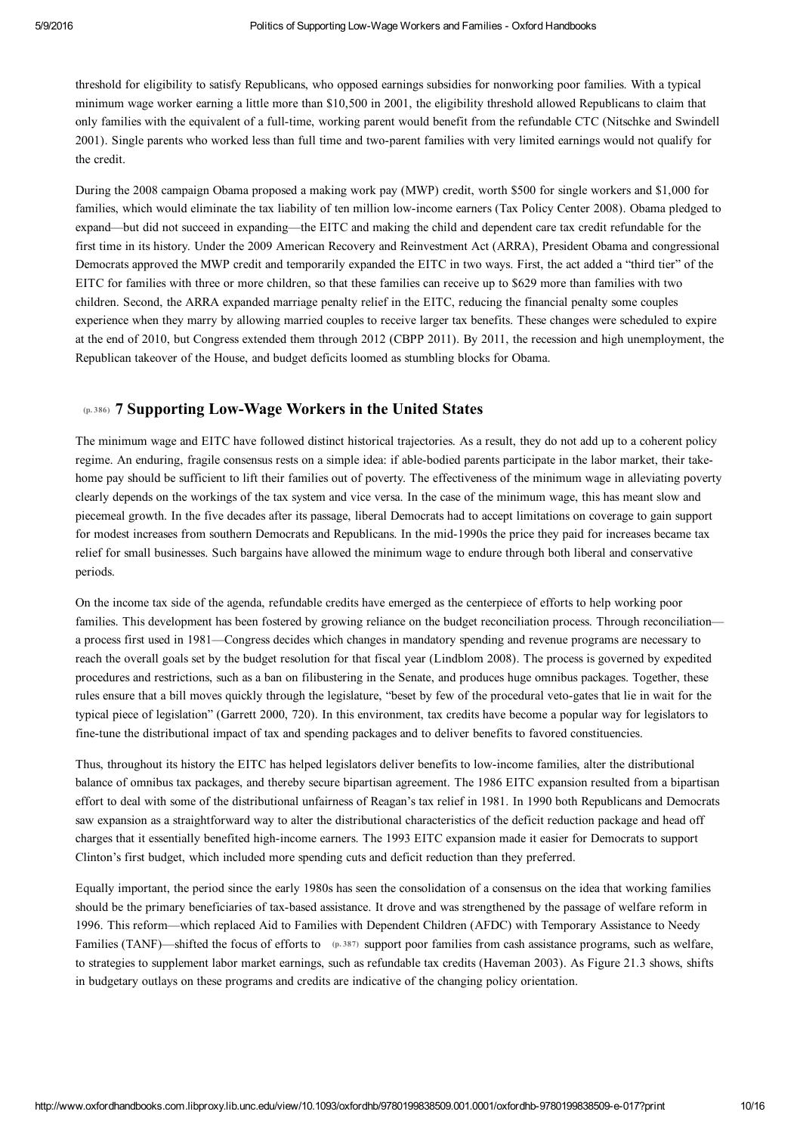threshold for eligibility to satisfy Republicans, who opposed earnings subsidies for nonworking poor families. With a typical minimum wage worker earning a little more than \$10,500 in 2001, the eligibility threshold allowed Republicans to claim that only families with the equivalent of a full-time, working parent would benefit from the [refundable](#page-14-13) CTC (Nitschke and Swindell 2001). Single parents who worked less than full time and two-parent families with very limited earnings would not qualify for the credit.

During the 2008 campaign Obama proposed a making work pay (MWP) credit, worth \$500 for single workers and \$1,000 for families, which would eliminate the tax liability of ten million low-income earners (Tax Policy Center 2008). Obama pledged to expand—but did not succeed in expanding—the EITC and making the child and dependent care tax credit refundable for the first time in its history. Under the 2009 American Recovery and Reinvestment Act (ARRA), President Obama and congressional Democrats approved the MWP credit and temporarily expanded the EITC in two ways. First, the act added a "third tier" of the EITC for families with three or more children, so that these families can receive up to \$629 more than families with two children. Second, the ARRA expanded marriage penalty relief in the EITC, reducing the financial penalty some couples experience when they marry by allowing married couples to receive larger tax benefits. These changes were scheduled to expire at the end of 2010, but Congress extended them through 2012 ([CBPP](#page-12-5) 2011). By 2011, the recession and high unemployment, the Republican takeover of the House, and budget deficits loomed as stumbling blocks for Obama.

## (p. 386) 7 Supporting LowWage Workers in the United States

The minimum wage and EITC have followed distinct historical trajectories. As a result, they do not add up to a coherent policy regime. An enduring, fragile consensus rests on a simple idea: if able-bodied parents participate in the labor market, their takehome pay should be sufficient to lift their families out of poverty. The effectiveness of the minimum wage in alleviating poverty clearly depends on the workings of the tax system and vice versa. In the case of the minimum wage, this has meant slow and piecemeal growth. In the five decades after its passage, liberal Democrats had to accept limitations on coverage to gain support for modest increases from southern Democrats and Republicans. In the mid-1990s the price they paid for increases became tax relief for small businesses. Such bargains have allowed the minimum wage to endure through both liberal and conservative periods.

On the income tax side of the agenda, refundable credits have emerged as the centerpiece of efforts to help working poor families. This development has been fostered by growing reliance on the budget reconciliation process. Through reconciliation a process first used in 1981—Congress decides which changes in mandatory spending and revenue programs are necessary to reach the overall goals set by the budget resolution for that fiscal year [\(Lindblom](#page-13-9) 2008). The process is governed by expedited procedures and restrictions, such as a ban on filibustering in the Senate, and produces huge omnibus packages. Together, these rules ensure that a bill moves quickly through the legislature, "beset by few of the procedural veto-gates that lie in wait for the typical piece of legislation" ([Garrett](#page-12-11) 2000, 720). In this environment, tax credits have become a popular way for legislators to fine-tune the distributional impact of tax and spending packages and to deliver benefits to favored constituencies.

Thus, throughout its history the EITC has helped legislators deliver benefits to lowincome families, alter the distributional balance of omnibus tax packages, and thereby secure bipartisan agreement. The 1986 EITC expansion resulted from a bipartisan effort to deal with some of the distributional unfairness of Reagan's tax relief in 1981. In 1990 both Republicans and Democrats saw expansion as a straightforward way to alter the distributional characteristics of the deficit reduction package and head off charges that it essentially benefited high-income earners. The 1993 EITC expansion made it easier for Democrats to support Clinton's first budget, which included more spending cuts and deficit reduction than they preferred.

<span id="page-9-0"></span>Equally important, the period since the early 1980s has seen the consolidation of a consensus on the idea that working families should be the primary beneficiaries of tax-based assistance. It drove and was strengthened by the passage of welfare reform in 1996. This reform—which replaced Aid to Families with Dependent Children (AFDC) with Temporary Assistance to Needy Families (TANF)—shifted the focus of efforts to  $(p. 387)$  support poor families from cash assistance programs, such as welfare, to strategies to supplement labor market earnings, such as refundable tax credits [\(Haveman](#page-13-10) 2003). As Figure [21.3](#page-9-0) shows, shifts in budgetary outlays on these programs and credits are indicative of the changing policy orientation.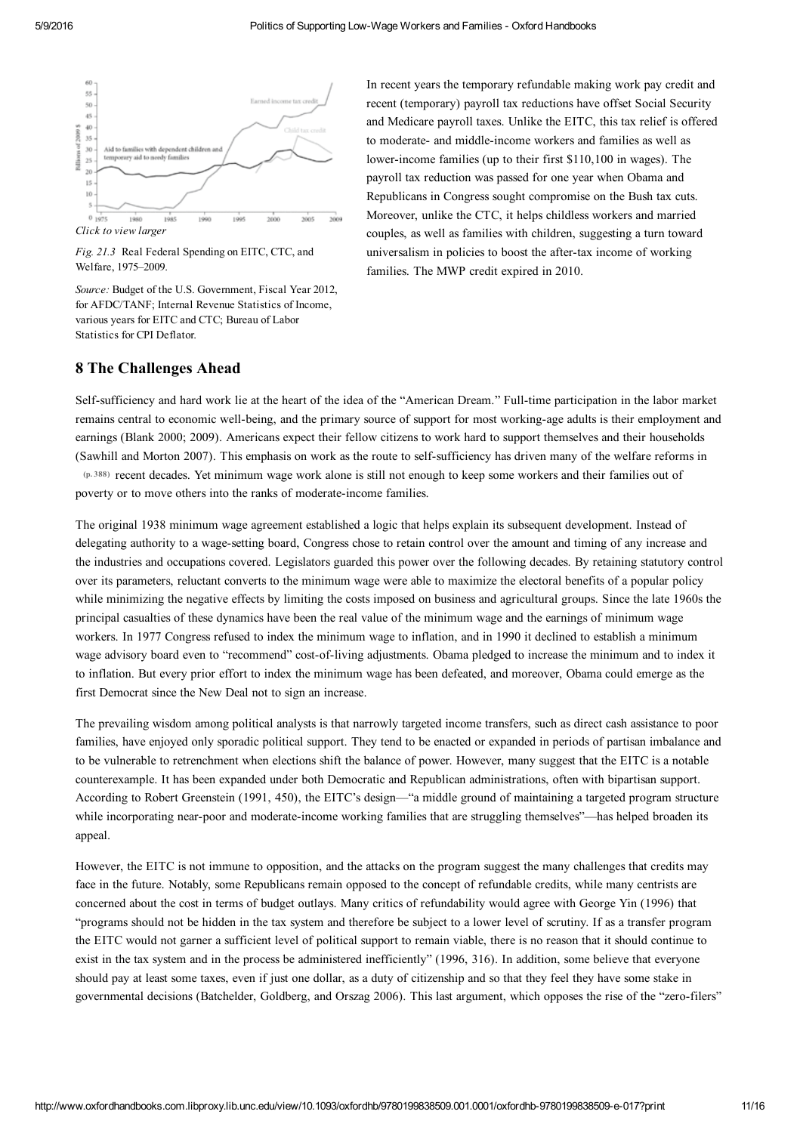

Fig. 21.3 Real Federal Spending on EITC, CTC, and Welfare, 1975–2009.

Source: Budget of the U.S. Government, Fiscal Year 2012, for AFDC/TANF; Internal Revenue Statistics of Income, various years for EITC and CTC; Bureau of Labor Statistics for CPI Deflator.

In recent years the temporary refundable making work pay credit and recent (temporary) payroll tax reductions have offset Social Security and Medicare payroll taxes. Unlike the EITC, this tax relief is offered to moderate- and middle-income workers and families as well as lower-income families (up to their first \$110,100 in wages). The payroll tax reduction was passed for one year when Obama and Republicans in Congress sought compromise on the Bush tax cuts. Moreover, unlike the CTC, it helps childless workers and married couples, as well as families with children, suggesting a turn toward universalism in policies to boost the after-tax income of working families. The MWP credit expired in 2010.

## 8 The Challenges Ahead

Self-sufficiency and hard work lie at the heart of the idea of the "American Dream." Full-time participation in the labor market remains central to economic well-being, and the primary source of support for most working-age adults is their employment and earnings ([Blank](#page-12-12) 2000; [2009\)](#page-12-13). Americans expect their fellow citizens to work hard to support themselves and their households [\(Sawhill](#page-14-14) and Morton 2007). This emphasis on work as the route to self-sufficiency has driven many of the welfare reforms in (p. 388) recent decades. Yet minimum wage work alone is still not enough to keep some workers and their families out of poverty or to move others into the ranks of moderate-income families.

The original 1938 minimum wage agreement established a logic that helps explain its subsequent development. Instead of delegating authority to a wage-setting board, Congress chose to retain control over the amount and timing of any increase and the industries and occupations covered. Legislators guarded this power over the following decades. By retaining statutory control over its parameters, reluctant converts to the minimum wage were able to maximize the electoral benefits of a popular policy while minimizing the negative effects by limiting the costs imposed on business and agricultural groups. Since the late 1960s the principal casualties of these dynamics have been the real value of the minimum wage and the earnings of minimum wage workers. In 1977 Congress refused to index the minimum wage to inflation, and in 1990 it declined to establish a minimum wage advisory board even to "recommend" cost-of-living adjustments. Obama pledged to increase the minimum and to index it to inflation. But every prior effort to index the minimum wage has been defeated, and moreover, Obama could emerge as the first Democrat since the New Deal not to sign an increase.

The prevailing wisdom among political analysts is that narrowly targeted income transfers, such as direct cash assistance to poor families, have enjoyed only sporadic political support. They tend to be enacted or expanded in periods of partisan imbalance and to be vulnerable to retrenchment when elections shift the balance of power. However, many suggest that the EITC is a notable counterexample. It has been expanded under both Democratic and Republican administrations, often with bipartisan support. According to Robert [Greenstein](#page-13-11) (1991, 450), the EITC's design—"a middle ground of maintaining a targeted program structure while incorporating near-poor and moderate-income working families that are struggling themselves"—has helped broaden its appeal.

However, the EITC is not immune to opposition, and the attacks on the program suggest the many challenges that credits may face in the future. Notably, some Republicans remain opposed to the concept of refundable credits, while many centrists are concerned about the cost in terms of budget outlays. Many critics of refundability would agree with [George](#page-15-3) Yin (1996) that "programs should not be hidden in the tax system and therefore be subject to a lower level of scrutiny. If as a transfer program the EITC would not garner a sufficient level of political support to remain viable, there is no reason that it should continue to exist in the tax system and in the process be administered inefficiently" (1996, 316). In addition, some believe that everyone should pay at least some taxes, even if just one dollar, as a duty of citizenship and so that they feel they have some stake in governmental decisions ([Batchelder,](#page-11-4) Goldberg, and Orszag 2006). This last argument, which opposes the rise of the "zero-filers"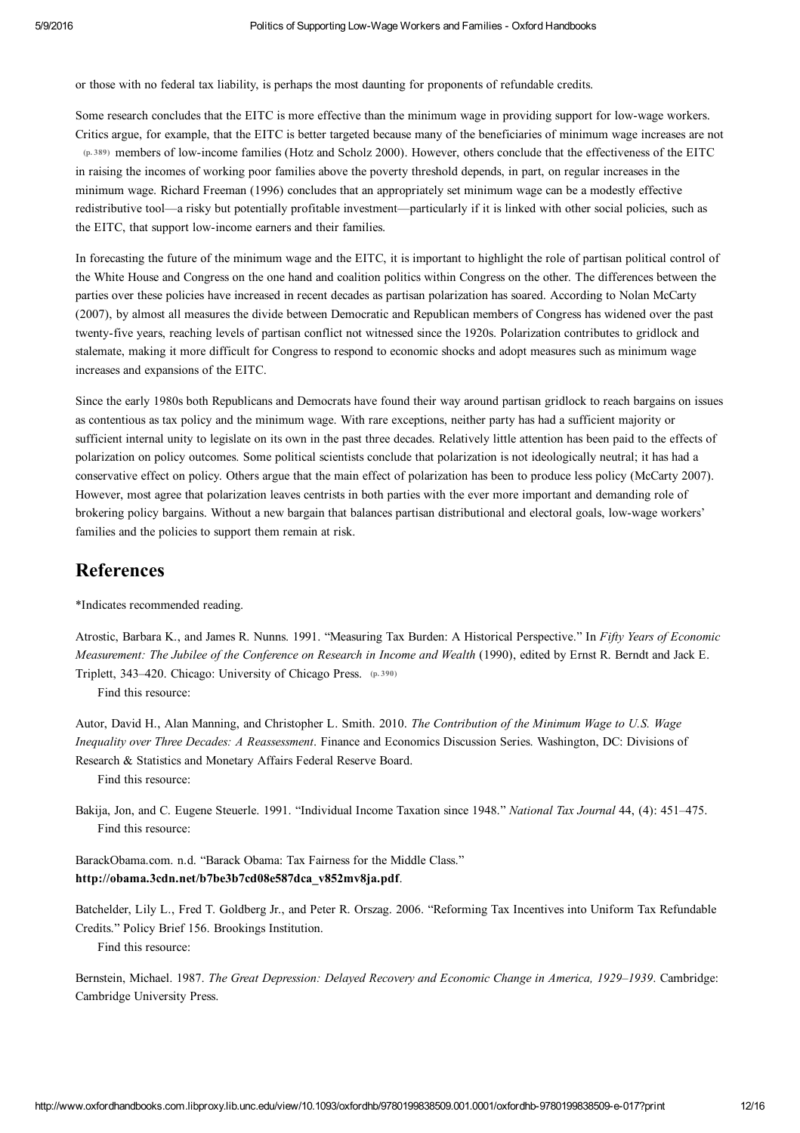or those with no federal tax liability, is perhaps the most daunting for proponents of refundable credits.

Some research concludes that the EITC is more effective than the minimum wage in providing support for low-wage workers. Critics argue, for example, that the EITC is better targeted because many of the beneficiaries of minimum wage increases are not (p. 389) members of lowincome families (Hotz and [Scholz](#page-13-12) 2000). However, others conclude that the effectiveness of the EITC in raising the incomes of working poor families above the poverty threshold depends, in part, on regular increases in the minimum wage. Richard [Freeman](#page-12-0) (1996) concludes that an appropriately set minimum wage can be a modestly effective redistributive tool—a risky but potentially profitable investment—particularly if it is linked with other social policies, such as the EITC, that support low-income earners and their families.

In forecasting the future of the minimum wage and the EITC, it is important to highlight the role of partisan political control of the White House and Congress on the one hand and coalition politics within Congress on the other. The differences between the parties over these policies have increased in recent decades as partisan [polarization](#page-13-13) has soared. According to Nolan McCarty (2007), by almost all measures the divide between Democratic and Republican members of Congress has widened over the past twenty-five years, reaching levels of partisan conflict not witnessed since the 1920s. Polarization contributes to gridlock and stalemate, making it more difficult for Congress to respond to economic shocks and adopt measures such as minimum wage increases and expansions of the EITC.

Since the early 1980s both Republicans and Democrats have found their way around partisan gridlock to reach bargains on issues as contentious as tax policy and the minimum wage. With rare exceptions, neither party has had a sufficient majority or sufficient internal unity to legislate on its own in the past three decades. Relatively little attention has been paid to the effects of polarization on policy outcomes. Some political scientists conclude that polarization is not ideologically neutral; it has had a conservative effect on policy. Others argue that the main effect of polarization has been to produce less policy [\(McCarty](#page-13-13) 2007). However, most agree that polarization leaves centrists in both parties with the ever more important and demanding role of brokering policy bargains. Without a new bargain that balances partisan distributional and electoral goals, lowwage workers' families and the policies to support them remain at risk.

## References

\*Indicates recommended reading.

<span id="page-11-1"></span>Atrostic, Barbara K., and James R. Nunns. 1991. "Measuring Tax Burden: A Historical Perspective." In Fifty Years of Economic Measurement: The Jubilee of the Conference on Research in Income and Wealth (1990), edited by Ernst R. Berndt and Jack E. Triplett, 343–420. Chicago: University of Chicago Press. (p. 390)

Find this resource:

<span id="page-11-0"></span>Autor, David H., Alan Manning, and Christopher L. Smith. 2010. The Contribution of the Minimum Wage to U.S. Wage Inequality over Three Decades: A Reassessment. Finance and Economics Discussion Series. Washington, DC: Divisions of Research & Statistics and Monetary Affairs Federal Reserve Board.

Find this resource:

<span id="page-11-2"></span>Bakija, Jon, and C. Eugene Steuerle. 1991. "Individual Income Taxation since 1948." National Tax Journal 44, (4): 451–475. Find this resource:

BarackObama.com. n.d. "Barack Obama: Tax Fairness for the Middle Class." [http://obama.3cdn.net/b7be3b7cd08e587dca\\_v852mv8ja.pdf.](http://obama.3cdn.net/b7be3b7cd08e587dca_v852mv8ja.pdf)

<span id="page-11-4"></span>Batchelder, Lily L., Fred T. Goldberg Jr., and Peter R. Orszag. 2006. "Reforming Tax Incentives into Uniform Tax Refundable Credits." Policy Brief 156. Brookings Institution.

Find this resource:

<span id="page-11-3"></span>Bernstein, Michael. 1987. The Great Depression: Delayed Recovery and Economic Change in America, 1929–1939. Cambridge: Cambridge University Press.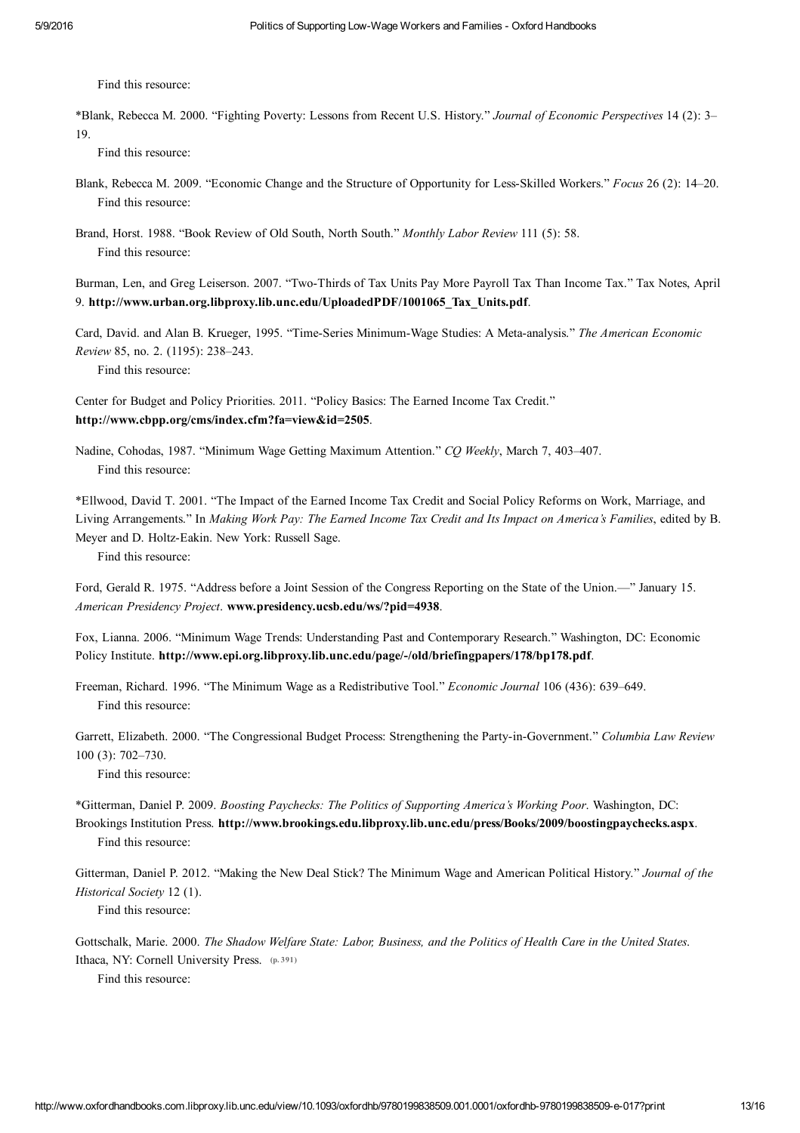Find this resource:

<span id="page-12-12"></span>\*Blank, Rebecca M. 2000. "Fighting Poverty: Lessons from Recent U.S. History." Journal of Economic Perspectives 14 (2): 3– 19.

Find this resource:

- <span id="page-12-13"></span>Blank, Rebecca M. 2009. "Economic Change and the Structure of Opportunity for Less-Skilled Workers." Focus 26 (2): 14–20. Find this resource:
- <span id="page-12-7"></span>Brand, Horst. 1988. "Book Review of Old South, North South." Monthly Labor Review 111 (5): 58. Find this resource:

<span id="page-12-4"></span>Burman, Len, and Greg Leiserson. 2007. "Two-Thirds of Tax Units Pay More Payroll Tax Than Income Tax." Tax Notes, April 9. http://www.urban.org.libproxy.lib.unc.edu/UploadedPDF/1001065 Tax Units.pdf.

<span id="page-12-2"></span>Card, David. and Alan B. Krueger, 1995. "Time-Series Minimum-Wage Studies: A Meta-analysis." The American Economic Review 85, no. 2. (1195): 238–243.

Find this resource:

<span id="page-12-5"></span>Center for Budget and Policy Priorities. 2011. "Policy Basics: The Earned Income Tax Credit." <http://www.cbpp.org/cms/index.cfm?fa=view&id=2505>.

<span id="page-12-9"></span>Nadine, Cohodas, 1987. "Minimum Wage Getting Maximum Attention." CQ Weekly, March 7, 403–407. Find this resource:

\*Ellwood, David T. 2001. "The Impact of the Earned Income Tax Credit and Social Policy Reforms on Work, Marriage, and Living Arrangements." In Making Work Pay: The Earned Income Tax Credit and Its Impact on America's Families, edited by B. Meyer and D. Holtz-Eakin. New York: Russell Sage.

Find this resource:

<span id="page-12-10"></span>Ford, Gerald R. 1975. "Address before a Joint Session of the Congress Reporting on the State of the Union.—" January 15. American Presidency Project. [www.presidency.ucsb.edu/ws/?pid=4938](http://www.presidency.ucsb.edu.libproxy.lib.unc.edu/ws/?pid=4938).

<span id="page-12-3"></span>Fox, Lianna. 2006. "Minimum Wage Trends: Understanding Past and Contemporary Research." Washington, DC: Economic Policy Institute. [http://www.epi.org.libproxy.lib.unc.edu/page//old/briefingpapers/178/bp178.pdf](http://www.epi.org.libproxy.lib.unc.edu/page/-/old/briefingpapers/178/bp178.pdf).

<span id="page-12-0"></span>Freeman, Richard. 1996. "The Minimum Wage as a Redistributive Tool." Economic Journal 106 (436): 639–649. Find this resource:

<span id="page-12-11"></span>Garrett, Elizabeth. 2000. "The Congressional Budget Process: Strengthening the Party-in-Government." Columbia Law Review 100 (3): 702–730.

Find this resource:

<span id="page-12-6"></span>\*Gitterman, Daniel P. 2009. Boosting Paychecks: The Politics of Supporting America's Working Poor. Washington, DC: Brookings Institution Press. <http://www.brookings.edu.libproxy.lib.unc.edu/press/Books/2009/boostingpaychecks.aspx>. Find this resource:

<span id="page-12-8"></span>Gitterman, Daniel P. 2012. "Making the New Deal Stick? The Minimum Wage and American Political History." Journal of the Historical Society 12 (1).

Find this resource:

<span id="page-12-1"></span>Gottschalk, Marie. 2000. The Shadow Welfare State: Labor, Business, and the Politics of Health Care in the United States. Ithaca, NY: Cornell University Press. (p. 391)

Find this resource: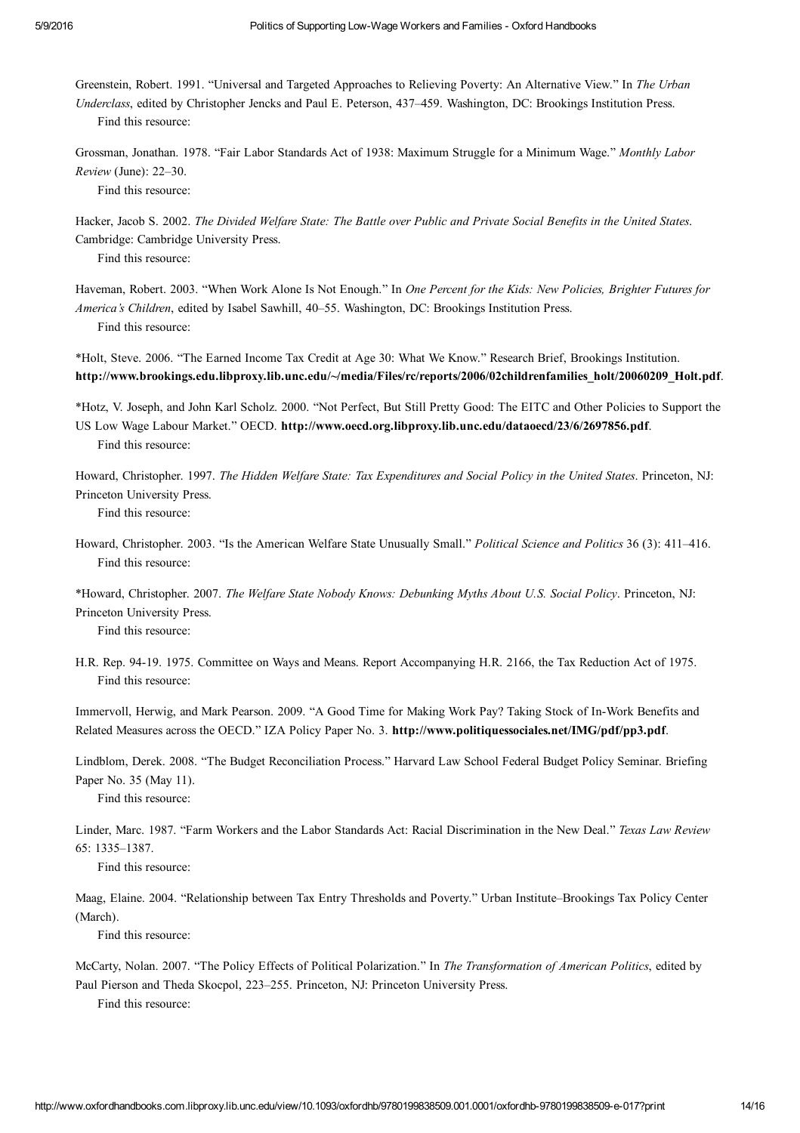<span id="page-13-11"></span>Greenstein, Robert. 1991. "Universal and Targeted Approaches to Relieving Poverty: An Alternative View." In The Urban Underclass, edited by Christopher Jencks and Paul E. Peterson, 437–459. Washington, DC: Brookings Institution Press. Find this resource:

<span id="page-13-4"></span>Grossman, Jonathan. 1978. "Fair Labor Standards Act of 1938: Maximum Struggle for a Minimum Wage." Monthly Labor Review (June): 22–30.

Find this resource:

<span id="page-13-2"></span>Hacker, Jacob S. 2002. The Divided Welfare State: The Battle over Public and Private Social Benefits in the United States. Cambridge: Cambridge University Press.

Find this resource:

<span id="page-13-10"></span>Haveman, Robert. 2003. "When Work Alone Is Not Enough." In One Percent for the Kids: New Policies, Brighter Futures for America's Children, edited by Isabel Sawhill, 40–55. Washington, DC: Brookings Institution Press.

Find this resource:

<span id="page-13-7"></span>\*Holt, Steve. 2006. "The Earned Income Tax Credit at Age 30: What We Know." Research Brief, Brookings Institution. [http://www.brookings.edu.libproxy.lib.unc.edu/~/media/Files/rc/reports/2006/02childrenfamilies\\_holt/20060209\\_Holt.pdf](http://www.brookings.edu.libproxy.lib.unc.edu/~/media/Files/rc/reports/2006/02childrenfamilies_holt/20060209_Holt.pdf).

<span id="page-13-12"></span>\*Hotz, V. Joseph, and John Karl Scholz. 2000. "Not Perfect, But Still Pretty Good: The EITC and Other Policies to Support the US Low Wage Labour Market." OECD. [http://www.oecd.org.libproxy.lib.unc.edu/dataoecd/23/6/2697856.pdf.](http://www.oecd.org.libproxy.lib.unc.edu/dataoecd/23/6/2697856.pdf) Find this resource:

<span id="page-13-1"></span>Howard, Christopher. 1997. The Hidden Welfare State: Tax Expenditures and Social Policy in the United States. Princeton, NJ: Princeton University Press.

Find this resource:

\*Howard, Christopher. 2007. The Welfare State Nobody Knows: Debunking Myths About U.S. Social Policy. Princeton, NJ: Princeton University Press.

Find this resource:

<span id="page-13-8"></span>H.R. Rep. 9419. 1975. Committee on Ways and Means. Report Accompanying H.R. 2166, the Tax Reduction Act of 1975. Find this resource:

<span id="page-13-0"></span>Immervoll, Herwig, and Mark Pearson. 2009. "A Good Time for Making Work Pay? Taking Stock of In-Work Benefits and Related Measures across the OECD." IZA Policy Paper No. 3. <http://www.politiquessociales.net/IMG/pdf/pp3.pdf>.

<span id="page-13-9"></span>Lindblom, Derek. 2008. "The Budget Reconciliation Process." Harvard Law School Federal Budget Policy Seminar. Briefing Paper No. 35 (May 11).

Find this resource:

<span id="page-13-5"></span>Linder, Marc. 1987. "Farm Workers and the Labor Standards Act: Racial Discrimination in the New Deal." Texas Law Review 65: 1335–1387.

Find this resource:

<span id="page-13-6"></span>Maag, Elaine. 2004. "Relationship between Tax Entry Thresholds and Poverty." Urban Institute–Brookings Tax Policy Center (March).

Find this resource:

<span id="page-13-13"></span>McCarty, Nolan. 2007. "The Policy Effects of Political Polarization." In The Transformation of American Politics, edited by Paul Pierson and Theda Skocpol, 223–255. Princeton, NJ: Princeton University Press.

Find this resource:

<span id="page-13-3"></span>Howard, Christopher. 2003. "Is the American Welfare State Unusually Small." Political Science and Politics 36 (3): 411–416. Find this resource: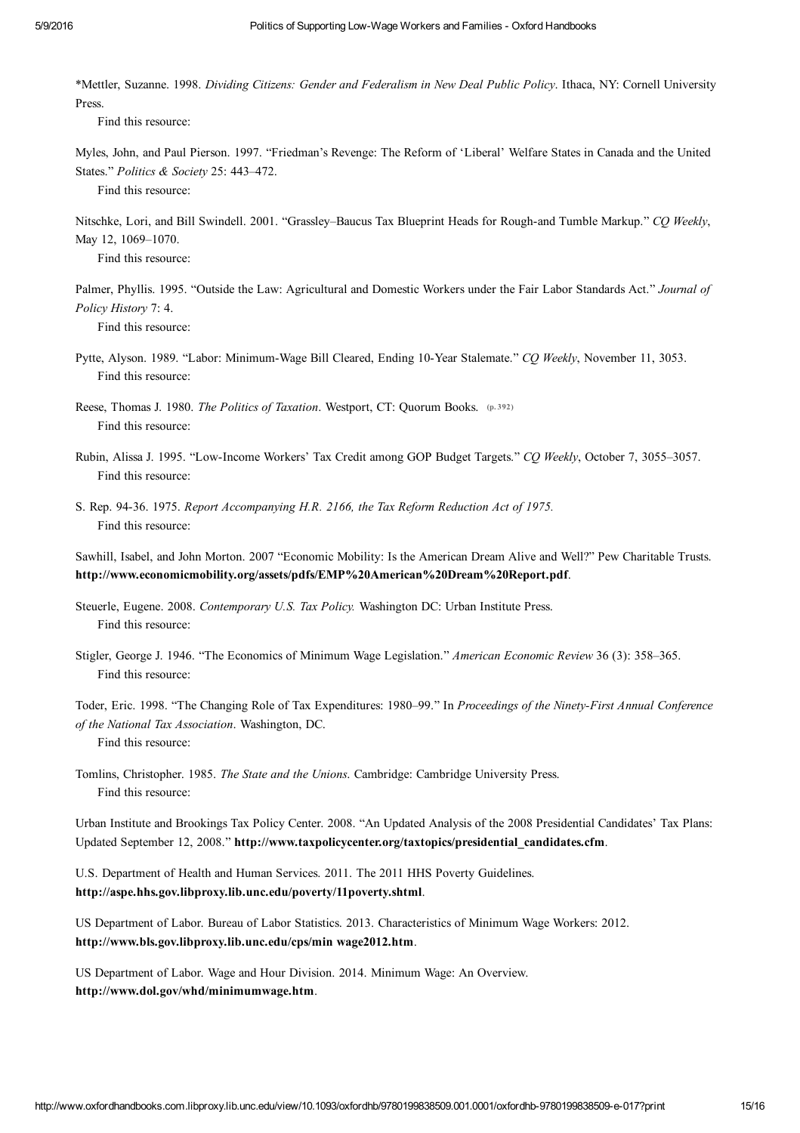<span id="page-14-1"></span>\*Mettler, Suzanne. 1998. Dividing Citizens: Gender and Federalism in New Deal Public Policy. Ithaca, NY: Cornell University Press.

Find this resource:

<span id="page-14-11"></span>Myles, John, and Paul Pierson. 1997. "Friedman's Revenge: The Reform of 'Liberal' Welfare States in Canada and the United States." Politics & Society 25: 443-472.

Find this resource:

<span id="page-14-13"></span>Nitschke, Lori, and Bill Swindell. 2001. "Grassley–Baucus Tax Blueprint Heads for Rough-and Tumble Markup." CO Weekly, May 12, 1069–1070.

Find this resource:

<span id="page-14-0"></span>Palmer, Phyllis. 1995. "Outside the Law: Agricultural and Domestic Workers under the Fair Labor Standards Act." Journal of Policy History 7: 4.

Find this resource:

<span id="page-14-7"></span>Pytte, Alyson. 1989. "Labor: Minimum-Wage Bill Cleared, Ending 10-Year Stalemate." CQ Weekly, November 11, 3053. Find this resource:

<span id="page-14-5"></span>Reese, Thomas J. 1980. The Politics of Taxation. Westport, CT: Quorum Books. (p. 392) Find this resource:

<span id="page-14-12"></span>Rubin, Alissa J. 1995. "Low-Income Workers' Tax Credit among GOP Budget Targets." CO Weekly, October 7, 3055–3057. Find this resource:

<span id="page-14-8"></span>S. Rep. 9436. 1975. Report Accompanying H.R. 2166, the Tax Reform Reduction Act of 1975. Find this resource:

<span id="page-14-14"></span>Sawhill, Isabel, and John Morton. 2007 "Economic Mobility: Is the American Dream Alive and Well?" Pew Charitable Trusts. <http://www.economicmobility.org/assets/pdfs/EMP%20American%20Dream%20Report.pdf>.

<span id="page-14-10"></span>Steuerle, Eugene. 2008. Contemporary U.S. Tax Policy. Washington DC: Urban Institute Press. Find this resource:

Stigler, George J. 1946. "The Economics of Minimum Wage Legislation." American Economic Review 36 (3): 358–365. Find this resource:

<span id="page-14-9"></span>Toder, Eric. 1998. "The Changing Role of Tax Expenditures: 1980–99." In Proceedings of the Ninety-First Annual Conference of the National Tax Association. Washington, DC. Find this resource:

<span id="page-14-6"></span>Tomlins, Christopher. 1985. The State and the Unions. Cambridge: Cambridge University Press. Find this resource:

Urban Institute and Brookings Tax Policy Center. 2008. "An Updated Analysis of the 2008 Presidential Candidates' Tax Plans: Updated September 12, 2008." [http://www.taxpolicycenter.org/taxtopics/presidential\\_candidates.cfm.](http://www.taxpolicycenter.org/taxtopics/presidential_candidates.cfm)

<span id="page-14-4"></span>U.S. Department of Health and Human Services. 2011. The 2011 HHS Poverty Guidelines. [http://aspe.hhs.gov.libproxy.lib.unc.edu/poverty/11poverty.shtml.](http://aspe.hhs.gov.libproxy.lib.unc.edu/poverty/11poverty.shtml)

<span id="page-14-3"></span>US Department of Labor. Bureau of Labor Statistics. 2013. Characteristics of Minimum Wage Workers: 2012. [http://www.bls.gov.libproxy.lib.unc.edu/cps/min](http://www.bls.gov.libproxy.lib.unc.edu/cps/minwage2012.htm) wage2012.htm.

<span id="page-14-2"></span>US Department of Labor. Wage and Hour Division. 2014. Minimum Wage: An Overview. <http://www.dol.gov/whd/minimumwage.htm>.